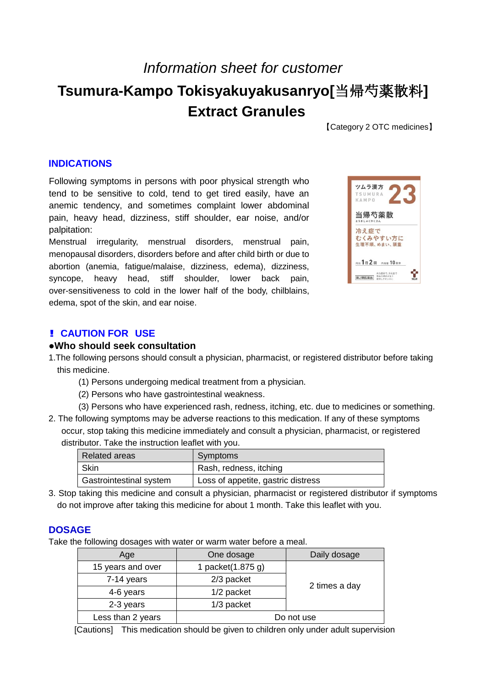# *Information sheet for customer* **Tsumura-Kampo Tokisyakuyakusanryo[**当帰芍薬散料**] Extract Granules**

【Category 2 OTC medicines】

## **INDICATIONS**

Following symptoms in persons with poor physical strength who tend to be sensitive to cold, tend to get tired easily, have an anemic tendency, and sometimes complaint lower abdominal pain, heavy head, dizziness, stiff shoulder, ear noise, and/or palpitation:

Menstrual irregularity, menstrual disorders, menstrual pain, menopausal disorders, disorders before and after child birth or due to abortion (anemia, fatigue/malaise, dizziness, edema), dizziness, syncope, heavy head, stiff shoulder, lower back pain, over-sensitiveness to cold in the lower half of the body, chilblains, edema, spot of the skin, and ear noise.



## **! CAUTION FOR USE**

#### **●Who should seek consultation**

- 1.The following persons should consult a physician, pharmacist, or registered distributor before taking this medicine.
	- (1) Persons undergoing medical treatment from a physician.
	- (2) Persons who have gastrointestinal weakness.
	- (3) Persons who have experienced rash, redness, itching, etc. due to medicines or something.
- 2. The following symptoms may be adverse reactions to this medication. If any of these symptoms occur, stop taking this medicine immediately and consult a physician, pharmacist, or registered distributor. Take the instruction leaflet with you.

| Related areas           | Symptoms                           |
|-------------------------|------------------------------------|
| Skin                    | Rash, redness, itching             |
| Gastrointestinal system | Loss of appetite, gastric distress |

3. Stop taking this medicine and consult a physician, pharmacist or registered distributor if symptoms do not improve after taking this medicine for about 1 month. Take this leaflet with you.

## **DOSAGE**

Take the following dosages with water or warm water before a meal.

| Age               | One dosage        | Daily dosage  |
|-------------------|-------------------|---------------|
| 15 years and over | 1 packet(1.875 g) |               |
| 7-14 years        | 2/3 packet        | 2 times a day |
| 4-6 years         | 1/2 packet        |               |
| 2-3 years         | 1/3 packet        |               |
| Less than 2 years | Do not use        |               |

[Cautions] This medication should be given to children only under adult supervision